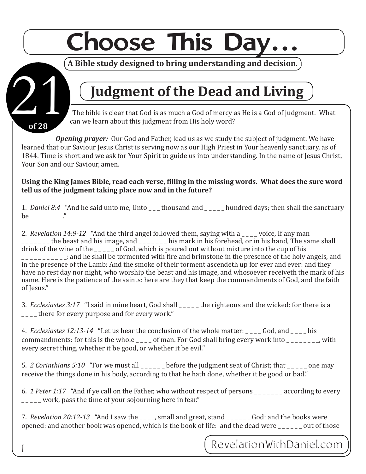# **Choose This Day**

**of 28**

11

### **A Bible study designed to bring understanding and decision.**

## **Judgment of the Dead and Living**

The bible is clear that God is as much a God of mercy as He is a God of judgment. What can we learn about this judgment from His holy word?

*Opening prayer:* Our God and Father, lead us as we study the subject of judgment. We have learned that our Saviour Jesus Christ is serving now as our High Priest in Your heavenly sanctuary, as of 1844. Time is short and we ask for Your Spirit to guide us into understanding. In the name of Jesus Christ, Your Son and our Saviour, amen.

**Using the King James Bible, read each verse, filling in the missing words. What does the sure word tell us of the judgment taking place now and in the future?**

1. *Daniel 8:4* "And he said unto me, Unto \_\_\_ thousand and \_\_\_\_\_ hundred days; then shall the sanctuary be \_ \_ \_ \_ \_ \_ \_ \_."

2. *Revelation 14:9-12* "And the third angel followed them, saying with a \_\_\_\_ voice, If any man \_\_\_\_\_ the beast and his image, and \_\_\_\_\_\_ his mark in his forehead, or in his hand, The same shall drink of the wine of the  $\qquad$  of God, which is poured out without mixture into the cup of his  $\frac{1}{2}$  =  $\frac{1}{2}$  and he shall be tormented with fire and brimstone in the presence of the holy angels, and in the presence of the Lamb: And the smoke of their torment ascendeth up for ever and ever: and they have no rest day nor night, who worship the beast and his image, and whosoever receiveth the mark of his name. Here is the patience of the saints: here are they that keep the commandments of God, and the faith of Jesus."

3. *Ecclesiastes 3:17* "I said in mine heart, God shall \_\_\_\_\_ the righteous and the wicked: for there is a there for every purpose and for every work."

4. *Ecclesiastes 12:13-14* "Let us hear the conclusion of the whole matter: \_\_\_\_ God, and \_\_\_\_ his commandments: for this is the whole  $\frac{1}{2}$  of man. For God shall bring every work into  $\frac{1}{2}$  =  $\frac{1}{2}$  with every secret thing, whether it be good, or whether it be evil."

5. *2 Corinthians 5:10* "For we must all \_\_\_\_\_ before the judgment seat of Christ; that \_\_\_\_ one may receive the things done in his body, according to that he hath done, whether it be good or bad."

6. *1 Peter 1:17* "And if ye call on the Father, who without respect of persons \_ \_ \_ \_ \_ \_ \_ according to every work, pass the time of your sojourning here in fear."

7. *Revelation 20:12-13* "And I saw the \_\_\_\_, small and great, stand \_\_\_\_\_\_ God; and the books were opened: and another book was opened, which is the book of life: and the dead were out of those

RevelationWithDaniel.com